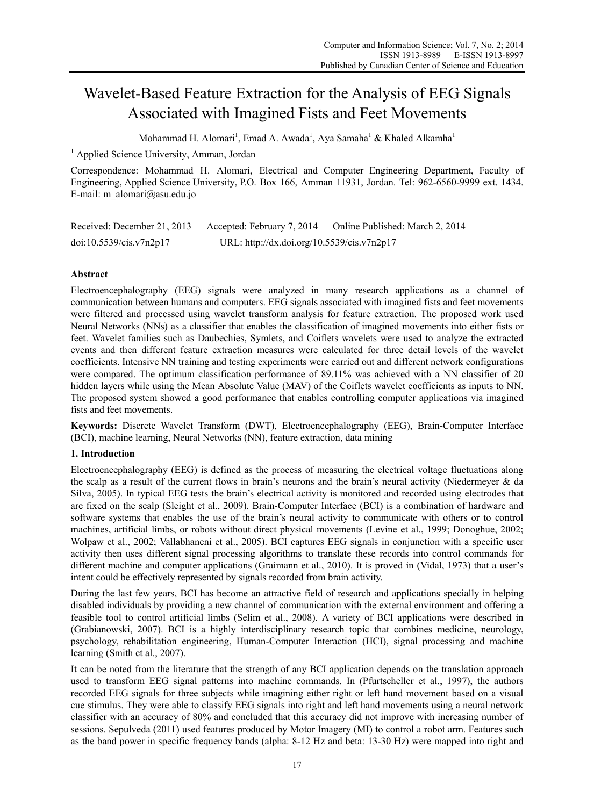# Wavelet-Based Feature Extraction for the Analysis of EEG Signals Associated with Imagined Fists and Feet Movements

Mohammad H. Alomari<sup>1</sup>, Emad A. Awada<sup>1</sup>, Aya Samaha<sup>1</sup> & Khaled Alkamha<sup>1</sup>

<sup>1</sup> Applied Science University, Amman, Jordan

Correspondence: Mohammad H. Alomari, Electrical and Computer Engineering Department, Faculty of Engineering, Applied Science University, P.O. Box 166, Amman 11931, Jordan. Tel: 962-6560-9999 ext. 1434. E-mail: m\_alomari@asu.edu.jo

| Received: December 21, 2013 | Accepted: February 7, 2014                 | Online Published: March 2, 2014 |
|-----------------------------|--------------------------------------------|---------------------------------|
| doi:10.5539/cis.v7n2p17     | URL: http://dx.doi.org/10.5539/cis.v7n2p17 |                                 |

# **Abstract**

Electroencephalography (EEG) signals were analyzed in many research applications as a channel of communication between humans and computers. EEG signals associated with imagined fists and feet movements were filtered and processed using wavelet transform analysis for feature extraction. The proposed work used Neural Networks (NNs) as a classifier that enables the classification of imagined movements into either fists or feet. Wavelet families such as Daubechies, Symlets, and Coiflets wavelets were used to analyze the extracted events and then different feature extraction measures were calculated for three detail levels of the wavelet coefficients. Intensive NN training and testing experiments were carried out and different network configurations were compared. The optimum classification performance of 89.11% was achieved with a NN classifier of 20 hidden layers while using the Mean Absolute Value (MAV) of the Coiflets wavelet coefficients as inputs to NN. The proposed system showed a good performance that enables controlling computer applications via imagined fists and feet movements.

**Keywords:** Discrete Wavelet Transform (DWT), Electroencephalography (EEG), Brain-Computer Interface (BCI), machine learning, Neural Networks (NN), feature extraction, data mining

# **1. Introduction**

Electroencephalography (EEG) is defined as the process of measuring the electrical voltage fluctuations along the scalp as a result of the current flows in brain's neurons and the brain's neural activity (Niedermeyer & da Silva, 2005). In typical EEG tests the brain's electrical activity is monitored and recorded using electrodes that are fixed on the scalp (Sleight et al., 2009). Brain-Computer Interface (BCI) is a combination of hardware and software systems that enables the use of the brain's neural activity to communicate with others or to control machines, artificial limbs, or robots without direct physical movements (Levine et al., 1999; Donoghue, 2002; Wolpaw et al., 2002; Vallabhaneni et al., 2005). BCI captures EEG signals in conjunction with a specific user activity then uses different signal processing algorithms to translate these records into control commands for different machine and computer applications (Graimann et al., 2010). It is proved in (Vidal, 1973) that a user's intent could be effectively represented by signals recorded from brain activity.

During the last few years, BCI has become an attractive field of research and applications specially in helping disabled individuals by providing a new channel of communication with the external environment and offering a feasible tool to control artificial limbs (Selim et al., 2008). A variety of BCI applications were described in (Grabianowski, 2007). BCI is a highly interdisciplinary research topic that combines medicine, neurology, psychology, rehabilitation engineering, Human-Computer Interaction (HCI), signal processing and machine learning (Smith et al., 2007).

It can be noted from the literature that the strength of any BCI application depends on the translation approach used to transform EEG signal patterns into machine commands. In (Pfurtscheller et al., 1997), the authors recorded EEG signals for three subjects while imagining either right or left hand movement based on a visual cue stimulus. They were able to classify EEG signals into right and left hand movements using a neural network classifier with an accuracy of 80% and concluded that this accuracy did not improve with increasing number of sessions. Sepulveda (2011) used features produced by Motor Imagery (MI) to control a robot arm. Features such as the band power in specific frequency bands (alpha: 8-12 Hz and beta: 13-30 Hz) were mapped into right and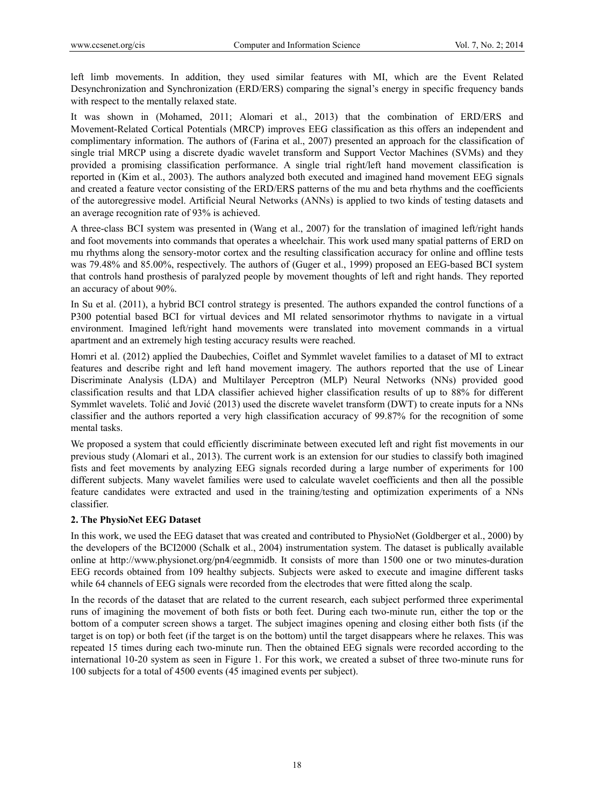left limb movements. In addition, they used similar features with MI, which are the Event Related Desynchronization and Synchronization (ERD/ERS) comparing the signal's energy in specific frequency bands with respect to the mentally relaxed state.

It was shown in (Mohamed, 2011; Alomari et al., 2013) that the combination of ERD/ERS and Movement-Related Cortical Potentials (MRCP) improves EEG classification as this offers an independent and complimentary information. The authors of (Farina et al., 2007) presented an approach for the classification of single trial MRCP using a discrete dyadic wavelet transform and Support Vector Machines (SVMs) and they provided a promising classification performance. A single trial right/left hand movement classification is reported in (Kim et al., 2003). The authors analyzed both executed and imagined hand movement EEG signals and created a feature vector consisting of the ERD/ERS patterns of the mu and beta rhythms and the coefficients of the autoregressive model. Artificial Neural Networks (ANNs) is applied to two kinds of testing datasets and an average recognition rate of 93% is achieved.

A three-class BCI system was presented in (Wang et al., 2007) for the translation of imagined left/right hands and foot movements into commands that operates a wheelchair. This work used many spatial patterns of ERD on mu rhythms along the sensory-motor cortex and the resulting classification accuracy for online and offline tests was 79.48% and 85.00%, respectively. The authors of (Guger et al., 1999) proposed an EEG-based BCI system that controls hand prosthesis of paralyzed people by movement thoughts of left and right hands. They reported an accuracy of about 90%.

In Su et al. (2011), a hybrid BCI control strategy is presented. The authors expanded the control functions of a P300 potential based BCI for virtual devices and MI related sensorimotor rhythms to navigate in a virtual environment. Imagined left/right hand movements were translated into movement commands in a virtual apartment and an extremely high testing accuracy results were reached.

Homri et al. (2012) applied the Daubechies, Coiflet and Symmlet wavelet families to a dataset of MI to extract features and describe right and left hand movement imagery. The authors reported that the use of Linear Discriminate Analysis (LDA) and Multilayer Perceptron (MLP) Neural Networks (NNs) provided good classification results and that LDA classifier achieved higher classification results of up to 88% for different Symmlet wavelets. Tolić and Jović (2013) used the discrete wavelet transform (DWT) to create inputs for a NNs classifier and the authors reported a very high classification accuracy of 99.87% for the recognition of some mental tasks.

We proposed a system that could efficiently discriminate between executed left and right fist movements in our previous study (Alomari et al., 2013). The current work is an extension for our studies to classify both imagined fists and feet movements by analyzing EEG signals recorded during a large number of experiments for 100 different subjects. Many wavelet families were used to calculate wavelet coefficients and then all the possible feature candidates were extracted and used in the training/testing and optimization experiments of a NNs classifier.

# **2. The PhysioNet EEG Dataset**

In this work, we used the EEG dataset that was created and contributed to PhysioNet (Goldberger et al., 2000) by the developers of the BCI2000 (Schalk et al., 2004) instrumentation system. The dataset is publically available online at http://www.physionet.org/pn4/eegmmidb. It consists of more than 1500 one or two minutes-duration EEG records obtained from 109 healthy subjects. Subjects were asked to execute and imagine different tasks while 64 channels of EEG signals were recorded from the electrodes that were fitted along the scalp.

In the records of the dataset that are related to the current research, each subject performed three experimental runs of imagining the movement of both fists or both feet. During each two-minute run, either the top or the bottom of a computer screen shows a target. The subject imagines opening and closing either both fists (if the target is on top) or both feet (if the target is on the bottom) until the target disappears where he relaxes. This was repeated 15 times during each two-minute run. Then the obtained EEG signals were recorded according to the international 10-20 system as seen in Figure 1. For this work, we created a subset of three two-minute runs for 100 subjects for a total of 4500 events (45 imagined events per subject).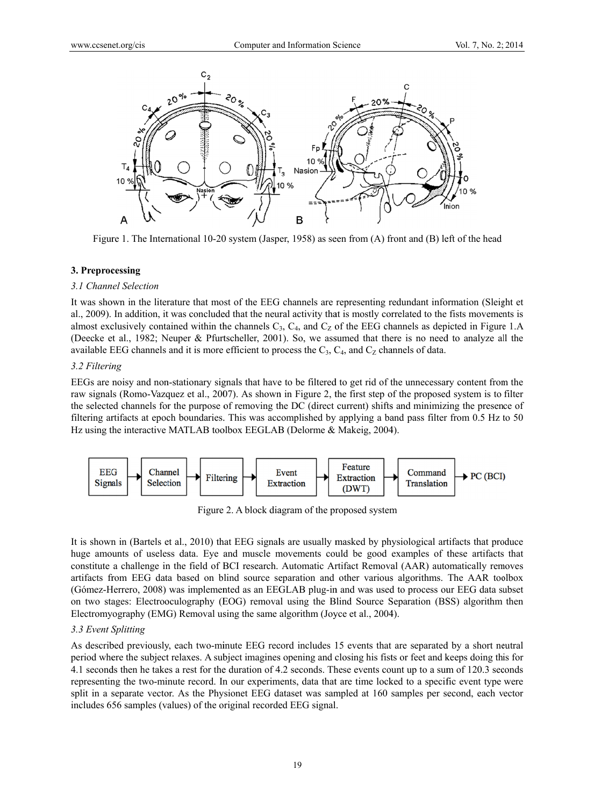

Figure 1. The International 10-20 system (Jasper, 1958) as seen from (A) front and (B) left of the head

## 3. Preprocessing

#### 3.1 Channel Selection

It was shown in the literature that most of the EEG channels are representing redundant information (Sleight et al., 2009). In addition, it was concluded that the neural activity that is mostly correlated to the fists movements is almost exclusively contained within the channels  $C_3$ ,  $C_4$ , and  $C_2$  of the EEG channels as depicted in Figure 1.A (Deecke et al., 1982; Neuper & Pfurtscheller, 2001). So, we assumed that there is no need to analyze all the available EEG channels and it is more efficient to process the  $C_3$ ,  $C_4$ , and  $C_2$  channels of data.

#### 3.2 Filtering

EEGs are noisy and non-stationary signals that have to be filtered to get rid of the unnecessary content from the raw signals (Romo-Vazquez et al., 2007). As shown in Figure 2, the first step of the proposed system is to filter the selected channels for the purpose of removing the DC (direct current) shifts and minimizing the presence of filtering artifacts at epoch boundaries. This was accomplished by applying a band pass filter from 0.5 Hz to 50 Hz using the interactive MATLAB toolbox EEGLAB (Delorme & Makeig, 2004).



Figure 2. A block diagram of the proposed system

It is shown in (Bartels et al., 2010) that EEG signals are usually masked by physiological artifacts that produce huge amounts of useless data. Eye and muscle movements could be good examples of these artifacts that constitute a challenge in the field of BCI research. Automatic Artifact Removal (AAR) automatically removes artifacts from EEG data based on blind source separation and other various algorithms. The AAR toolbox (Gómez-Herrero, 2008) was implemented as an EEGLAB plug-in and was used to process our EEG data subset on two stages: Electrooculography (EOG) removal using the Blind Source Separation (BSS) algorithm then Electromyography (EMG) Removal using the same algorithm (Joyce et al., 2004).

## 3.3 Event Splitting

As described previously, each two-minute EEG record includes 15 events that are separated by a short neutral period where the subject relaxes. A subject imagines opening and closing his fists or feet and keeps doing this for 4.1 seconds then he takes a rest for the duration of 4.2 seconds. These events count up to a sum of 120.3 seconds representing the two-minute record. In our experiments, data that are time locked to a specific event type were split in a separate vector. As the Physionet EEG dataset was sampled at 160 samples per second, each vector includes 656 samples (values) of the original recorded EEG signal.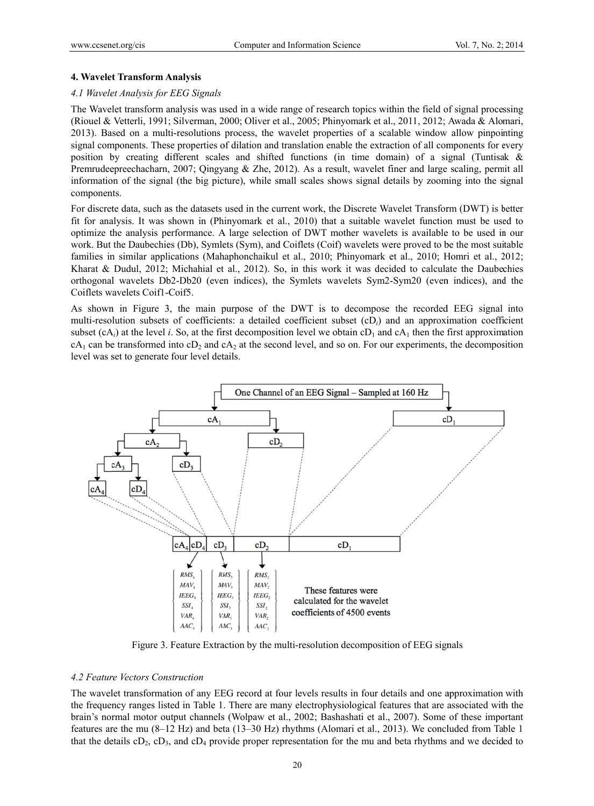## 4. Wavelet Transform Analysis

## 4.1 Wavelet Analysis for EEG Signals

The Wavelet transform analysis was used in a wide range of research topics within the field of signal processing (Riouel & Vetterli, 1991; Silverman, 2000; Oliver et al., 2005; Phinyomark et al., 2011, 2012; Awada & Alomari, 2013). Based on a multi-resolutions process, the wavelet properties of a scalable window allow pinpointing signal components. These properties of dilation and translation enable the extraction of all components for every position by creating different scales and shifted functions (in time domain) of a signal (Tuntisak & Premrudeepreechacharn, 2007; Oingvang & Zhe, 2012). As a result, wavelet finer and large scaling, permit all information of the signal (the big picture), while small scales shows signal details by zooming into the signal components.

For discrete data, such as the datasets used in the current work, the Discrete Wavelet Transform (DWT) is better fit for analysis. It was shown in (Phinyomark et al., 2010) that a suitable wavelet function must be used to optimize the analysis performance. A large selection of DWT mother wavelets is available to be used in our work. But the Daubechies (Db), Symlets (Sym), and Coiflets (Coif) wavelets were proved to be the most suitable families in similar applications (Mahaphonchaikul et al., 2010; Phinyomark et al., 2010; Homri et al., 2012; Kharat & Dudul, 2012; Michahial et al., 2012). So, in this work it was decided to calculate the Daubechies orthogonal wavelets Db2-Db20 (even indices), the Symlets wavelets Sym2-Sym20 (even indices), and the Coiflets wavelets Coif1-Coif5.

As shown in Figure 3, the main purpose of the DWT is to decompose the recorded EEG signal into multi-resolution subsets of coefficients: a detailed coefficient subset  $(CD_i)$  and an approximation coefficient subset  $(cA_i)$  at the level i. So, at the first decomposition level we obtain cD<sub>1</sub> and cA<sub>1</sub> then the first approximation  $cA_1$  can be transformed into  $cD_2$  and  $cA_2$  at the second level, and so on. For our experiments, the decomposition level was set to generate four level details.



Figure 3. Feature Extraction by the multi-resolution decomposition of EEG signals

## 4.2 Feature Vectors Construction

The wavelet transformation of any EEG record at four levels results in four details and one approximation with the frequency ranges listed in Table 1. There are many electrophysiological features that are associated with the brain's normal motor output channels (Wolpaw et al., 2002; Bashashati et al., 2007). Some of these important features are the mu (8–12 Hz) and beta (13–30 Hz) rhythms (Alomari et al., 2013). We concluded from Table 1 that the details  $cD_2$ ,  $cD_3$ , and  $cD_4$  provide proper representation for the mu and beta rhythms and we decided to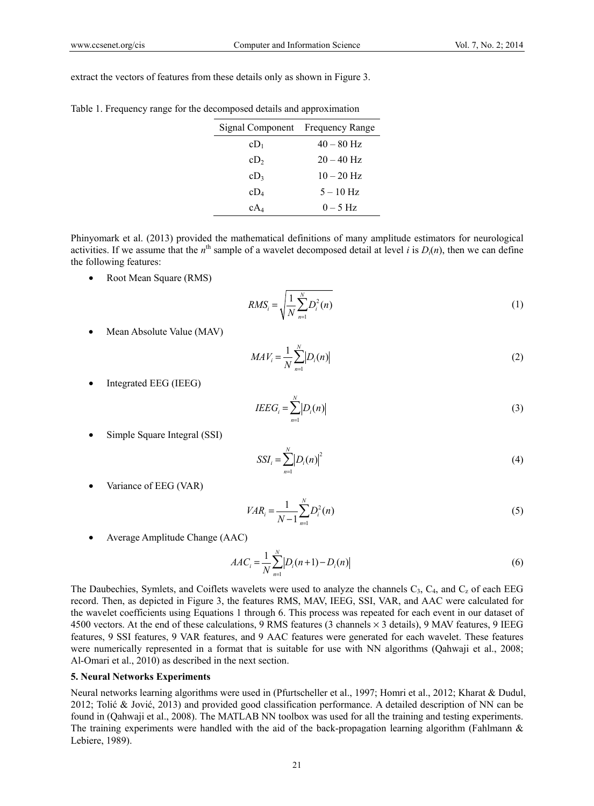extract the vectors of features from these details only as shown in Figure 3.

|  |  |  | Table 1. Frequency range for the decomposed details and approximation |
|--|--|--|-----------------------------------------------------------------------|
|  |  |  |                                                                       |

| Signal Component Frequency Range |              |
|----------------------------------|--------------|
| CD <sub>1</sub>                  | $40 - 80$ Hz |
| cD <sub>2</sub>                  | $20 - 40$ Hz |
| $cD_3$                           | $10 - 20$ Hz |
| $cD_4$                           | $5 - 10$ Hz  |
| $cA_4$                           | $0-5$ Hz     |

Phinyomark et al. (2013) provided the mathematical definitions of many amplitude estimators for neurological activities. If we assume that the  $n^{\text{th}}$  sample of a wavelet decomposed detail at level *i* is  $D_i(n)$ , then we can define the following features:

• Root Mean Square (RMS)

$$
RMS_i = \sqrt{\frac{1}{N} \sum_{n=1}^{N} D_i^2(n)}
$$
 (1)

• Mean Absolute Value (MAV)

$$
MAV_i = \frac{1}{N} \sum_{n=1}^{N} |D_i(n)|
$$
 (2)

Integrated EEG (IEEG)

$$
IEEG_i = \sum_{n=1}^{N} |D_i(n)| \tag{3}
$$

Simple Square Integral (SSI)

$$
SSI_i = \sum_{n=1}^{N} \left| D_i(n) \right|^2 \tag{4}
$$

Variance of EEG (VAR)

$$
VAR_i = \frac{1}{N-1} \sum_{n=1}^{N} D_i^2(n)
$$
 (5)

Average Amplitude Change (AAC)

$$
AAC_i = \frac{1}{N} \sum_{n=1}^{N} |D_i(n+1) - D_i(n)|
$$
\n(6)

The Daubechies, Symlets, and Coiflets wavelets were used to analyze the channels  $C_3$ ,  $C_4$ , and  $C_2$  of each EEG record. Then, as depicted in Figure 3, the features RMS, MAV, IEEG, SSI, VAR, and AAC were calculated for the wavelet coefficients using Equations 1 through 6. This process was repeated for each event in our dataset of 4500 vectors. At the end of these calculations, 9 RMS features (3 channels  $\times$  3 details), 9 MAV features, 9 IEEG features, 9 SSI features, 9 VAR features, and 9 AAC features were generated for each wavelet. These features were numerically represented in a format that is suitable for use with NN algorithms (Qahwaji et al., 2008; Al-Omari et al., 2010) as described in the next section.

#### **5. Neural Networks Experiments**

Neural networks learning algorithms were used in (Pfurtscheller et al., 1997; Homri et al., 2012; Kharat & Dudul, 2012; Tolić & Jović, 2013) and provided good classification performance. A detailed description of NN can be found in (Qahwaji et al., 2008). The MATLAB NN toolbox was used for all the training and testing experiments. The training experiments were handled with the aid of the back-propagation learning algorithm (Fahlmann  $\&$ Lebiere, 1989).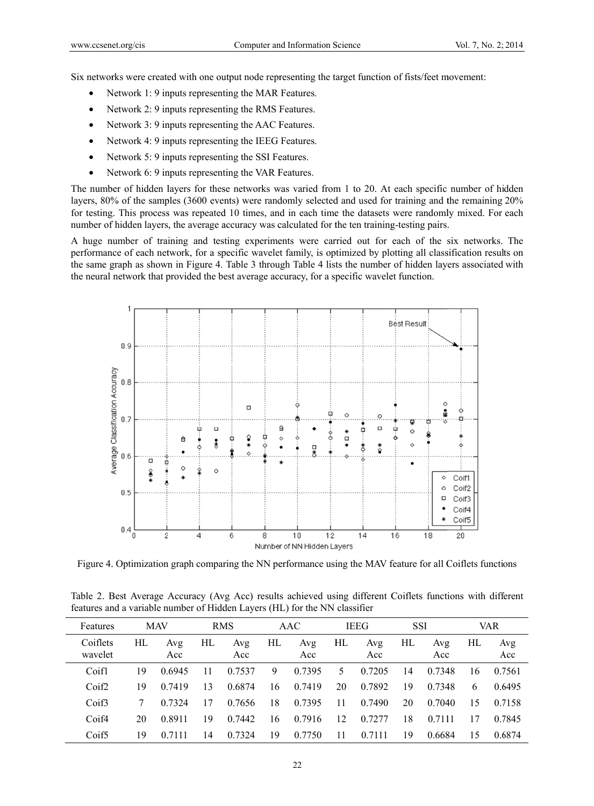Six networks were created with one output node representing the target function of fists/feet movement:

- Network 1: 9 inputs representing the MAR Features.  $\bullet$
- Network 2: 9 inputs representing the RMS Features.  $\bullet$
- Network 3: 9 inputs representing the AAC Features.  $\bullet$
- Network 4: 9 inputs representing the IEEG Features.  $\bullet$
- Network 5: 9 inputs representing the SSI Features.  $\bullet$
- Network 6: 9 inputs representing the VAR Features.  $\bullet$

The number of hidden layers for these networks was varied from 1 to 20. At each specific number of hidden layers, 80% of the samples (3600 events) were randomly selected and used for training and the remaining 20% for testing. This process was repeated 10 times, and in each time the datasets were randomly mixed. For each number of hidden layers, the average accuracy was calculated for the ten training-testing pairs.

A huge number of training and testing experiments were carried out for each of the six networks. The performance of each network, for a specific wavelet family, is optimized by plotting all classification results on the same graph as shown in Figure 4. Table 3 through Table 4 lists the number of hidden layers associated with the neural network that provided the best average accuracy, for a specific wavelet function.



Figure 4. Optimization graph comparing the NN performance using the MAV feature for all Coiflets functions

Table 2. Best Average Accuracy (Avg Acc) results achieved using different Coiflets functions with different features and a variable number of Hidden Layers (HL) for the NN classifier

| Features            | <b>MAV</b> |            | <b>RMS</b> |            | AAC |            | <b>IEEG</b> |            | <b>SSI</b> |            | VAR. |            |
|---------------------|------------|------------|------------|------------|-----|------------|-------------|------------|------------|------------|------|------------|
| Coiflets<br>wavelet | HL         | Avg<br>Acc | HL         | Avg<br>Acc | HL  | Avg<br>Acc | HL          | Avg<br>Acc | HL         | Avg<br>Acc | НL   | Avg<br>Acc |
| Coifl               | 19         | 0.6945     | 11         | 0.7537     | 9   | 0.7395     | 5           | 0.7205     | 14         | 0.7348     | 16   | 0.7561     |
| Coif2               | 19         | 0.7419     | 13         | 0.6874     | 16  | 0.7419     | 20          | 0.7892     | 19         | 0.7348     | 6    | 0.6495     |
| Coif3               | 7          | 0.7324     | 17         | 0.7656     | 18  | 0.7395     | 11          | 0.7490     | 20         | 0.7040     | 15   | 0.7158     |
| Coif4               | 20         | 0.8911     | 19         | 0.7442     | 16  | 0.7916     | 12          | 0.7277     | 18         | 0.7111     | 17   | 0.7845     |
| Coif <sub>5</sub>   | 19         |            | 14         | 0.7324     | 19  | 0.7750     | 11          | 0.7111     | 19         | 0.6684     | 15   | 0.6874     |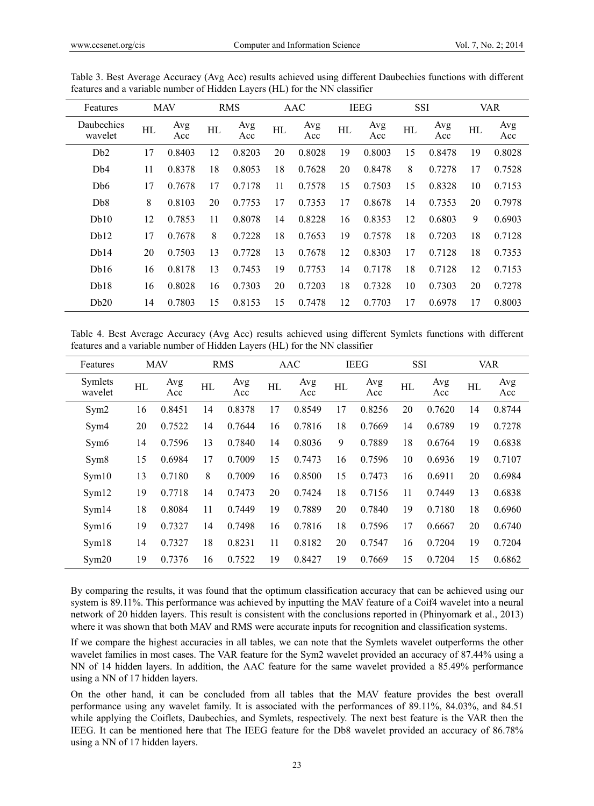| Features              | <b>MAV</b> |            |    | <b>RMS</b> | AAC |            | <b>IEEG</b> |            | <b>SSI</b> |            | <b>VAR</b> |            |
|-----------------------|------------|------------|----|------------|-----|------------|-------------|------------|------------|------------|------------|------------|
| Daubechies<br>wavelet | HL         | Avg<br>Acc | HL | Avg<br>Acc | НL  | Avg<br>Acc | HL          | Avg<br>Acc | НL         | Avg<br>Acc | HL         | Avg<br>Acc |
| D <sub>b</sub> 2      | 17         | 0.8403     | 12 | 0.8203     | 20  | 0.8028     | 19          | 0.8003     | 15         | 0.8478     | 19         | 0.8028     |
| D <sub>b</sub> 4      | 11         | 0.8378     | 18 | 0.8053     | 18  | 0.7628     | 20          | 0.8478     | 8          | 0.7278     | 17         | 0.7528     |
| D <sub>b</sub> 6      | 17         | 0.7678     | 17 | 0.7178     | 11  | 0.7578     | 15          | 0.7503     | 15         | 0.8328     | 10         | 0.7153     |
| D <sub>b</sub> 8      | 8          | 0.8103     | 20 | 0.7753     | 17  | 0.7353     | 17          | 0.8678     | 14         | 0.7353     | 20         | 0.7978     |
| Db10                  | 12         | 0.7853     | 11 | 0.8078     | 14  | 0.8228     | 16          | 0.8353     | 12         | 0.6803     | 9          | 0.6903     |
| Db12                  | 17         | 0.7678     | 8  | 0.7228     | 18  | 0.7653     | 19          | 0.7578     | 18         | 0.7203     | 18         | 0.7128     |
| Db14                  | 20         | 0.7503     | 13 | 0.7728     | 13  | 0.7678     | 12          | 0.8303     | 17         | 0.7128     | 18         | 0.7353     |
| Db16                  | 16         | 0.8178     | 13 | 0.7453     | 19  | 0.7753     | 14          | 0.7178     | 18         | 0.7128     | 12         | 0.7153     |
| Db18                  | 16         | 0.8028     | 16 | 0.7303     | 20  | 0.7203     | 18          | 0.7328     | 10         | 0.7303     | 20         | 0.7278     |
| Db20                  | 14         | 0.7803     | 15 | 0.8153     | 15  | 0.7478     | 12          | 0.7703     | 17         | 0.6978     | 17         | 0.8003     |

Table 3. Best Average Accuracy (Avg Acc) results achieved using different Daubechies functions with different features and a variable number of Hidden Layers (HL) for the NN classifier

Table 4. Best Average Accuracy (Avg Acc) results achieved using different Symlets functions with different features and a variable number of Hidden Layers (HL) for the NN classifier

| Features           | <b>MAV</b> |            |    | <b>RMS</b><br>AAC |    | <b>IEEG</b> |    | <b>SSI</b> |    | <b>VAR</b> |    |            |
|--------------------|------------|------------|----|-------------------|----|-------------|----|------------|----|------------|----|------------|
| Symlets<br>wavelet | HL         | Avg<br>Acc | HL | Avg<br>Acc        | HL | Avg<br>Acc  | HL | Avg<br>Acc | HL | Avg<br>Acc | HL | Avg<br>Acc |
| Sym2               | 16         | 0.8451     | 14 | 0.8378            | 17 | 0.8549      | 17 | 0.8256     | 20 | 0.7620     | 14 | 0.8744     |
| Sym4               | 20         | 0.7522     | 14 | 0.7644            | 16 | 0.7816      | 18 | 0.7669     | 14 | 0.6789     | 19 | 0.7278     |
| Sym <sub>6</sub>   | 14         | 0.7596     | 13 | 0.7840            | 14 | 0.8036      | 9  | 0.7889     | 18 | 0.6764     | 19 | 0.6838     |
| Sym <sub>8</sub>   | 15         | 0.6984     | 17 | 0.7009            | 15 | 0.7473      | 16 | 0.7596     | 10 | 0.6936     | 19 | 0.7107     |
| Sym10              | 13         | 0.7180     | 8  | 0.7009            | 16 | 0.8500      | 15 | 0.7473     | 16 | 0.6911     | 20 | 0.6984     |
| Sym12              | 19         | 0.7718     | 14 | 0.7473            | 20 | 0.7424      | 18 | 0.7156     | 11 | 0.7449     | 13 | 0.6838     |
| Sym14              | 18         | 0.8084     | 11 | 0.7449            | 19 | 0.7889      | 20 | 0.7840     | 19 | 0.7180     | 18 | 0.6960     |
| Sym16              | 19         | 0.7327     | 14 | 0.7498            | 16 | 0.7816      | 18 | 0.7596     | 17 | 0.6667     | 20 | 0.6740     |
| Sym18              | 14         | 0.7327     | 18 | 0.8231            | 11 | 0.8182      | 20 | 0.7547     | 16 | 0.7204     | 19 | 0.7204     |
| Sym20              | 19         | 0.7376     | 16 | 0.7522            | 19 | 0.8427      | 19 | 0.7669     | 15 | 0.7204     | 15 | 0.6862     |

By comparing the results, it was found that the optimum classification accuracy that can be achieved using our system is 89.11%. This performance was achieved by inputting the MAV feature of a Coif4 wavelet into a neural network of 20 hidden layers. This result is consistent with the conclusions reported in (Phinyomark et al., 2013) where it was shown that both MAV and RMS were accurate inputs for recognition and classification systems.

If we compare the highest accuracies in all tables, we can note that the Symlets wavelet outperforms the other wavelet families in most cases. The VAR feature for the Sym2 wavelet provided an accuracy of 87.44% using a NN of 14 hidden layers. In addition, the AAC feature for the same wavelet provided a 85.49% performance using a NN of 17 hidden layers.

On the other hand, it can be concluded from all tables that the MAV feature provides the best overall performance using any wavelet family. It is associated with the performances of 89.11%, 84.03%, and 84.51 while applying the Coiflets, Daubechies, and Symlets, respectively. The next best feature is the VAR then the IEEG. It can be mentioned here that The IEEG feature for the Db8 wavelet provided an accuracy of 86.78% using a NN of 17 hidden layers.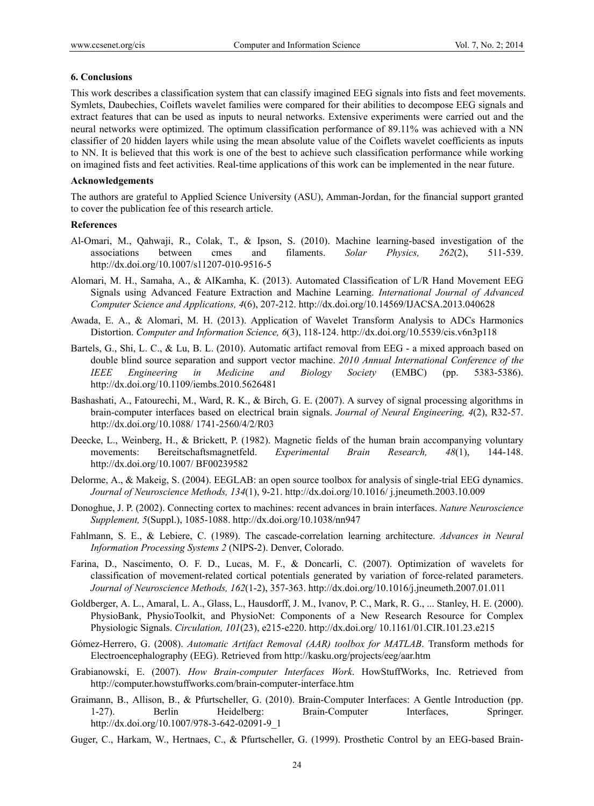#### **6. Conclusions**

This work describes a classification system that can classify imagined EEG signals into fists and feet movements. Symlets, Daubechies, Coiflets wavelet families were compared for their abilities to decompose EEG signals and extract features that can be used as inputs to neural networks. Extensive experiments were carried out and the neural networks were optimized. The optimum classification performance of 89.11% was achieved with a NN classifier of 20 hidden layers while using the mean absolute value of the Coiflets wavelet coefficients as inputs to NN. It is believed that this work is one of the best to achieve such classification performance while working on imagined fists and feet activities. Real-time applications of this work can be implemented in the near future.

#### **Acknowledgements**

The authors are grateful to Applied Science University (ASU), Amman-Jordan, for the financial support granted to cover the publication fee of this research article.

#### **References**

- Al-Omari, M., Qahwaji, R., Colak, T., & Ipson, S. (2010). Machine learning-based investigation of the associations between cmes and filaments. *Solar Physics, 262*(2), 511-539. http://dx.doi.org/10.1007/s11207-010-9516-5
- Alomari, M. H., Samaha, A., & AlKamha, K. (2013). Automated Classification of L/R Hand Movement EEG Signals using Advanced Feature Extraction and Machine Learning. *International Journal of Advanced Computer Science and Applications, 4*(6), 207-212. http://dx.doi.org/10.14569/IJACSA.2013.040628
- Awada, E. A., & Alomari, M. H. (2013). Application of Wavelet Transform Analysis to ADCs Harmonics Distortion. *Computer and Information Science, 6*(3), 118-124. http://dx.doi.org/10.5539/cis.v6n3p118
- Bartels, G., Shi, L. C., & Lu, B. L. (2010). Automatic artifact removal from EEG a mixed approach based on double blind source separation and support vector machine. *2010 Annual International Conference of the IEEE Engineering in Medicine and Biology Society* (EMBC) (pp. 5383-5386). http://dx.doi.org/10.1109/iembs.2010.5626481
- Bashashati, A., Fatourechi, M., Ward, R. K., & Birch, G. E. (2007). A survey of signal processing algorithms in brain-computer interfaces based on electrical brain signals. *Journal of Neural Engineering, 4*(2), R32-57. http://dx.doi.org/10.1088/ 1741-2560/4/2/R03
- Deecke, L., Weinberg, H., & Brickett, P. (1982). Magnetic fields of the human brain accompanying voluntary movements: Bereitschaftsmagnetfeld. *Experimental Brain Research, 48*(1), 144-148. http://dx.doi.org/10.1007/ BF00239582
- Delorme, A., & Makeig, S. (2004). EEGLAB: an open source toolbox for analysis of single-trial EEG dynamics. *Journal of Neuroscience Methods, 134*(1), 9-21. http://dx.doi.org/10.1016/ j.jneumeth.2003.10.009
- Donoghue, J. P. (2002). Connecting cortex to machines: recent advances in brain interfaces. *Nature Neuroscience Supplement, 5*(Suppl.), 1085-1088. http://dx.doi.org/10.1038/nn947
- Fahlmann, S. E., & Lebiere, C. (1989). The cascade-correlation learning architecture. *Advances in Neural Information Processing Systems 2* (NIPS-2). Denver, Colorado.
- Farina, D., Nascimento, O. F. D., Lucas, M. F., & Doncarli, C. (2007). Optimization of wavelets for classification of movement-related cortical potentials generated by variation of force-related parameters. *Journal of Neuroscience Methods, 162*(1-2), 357-363. http://dx.doi.org/10.1016/j.jneumeth.2007.01.011
- Goldberger, A. L., Amaral, L. A., Glass, L., Hausdorff, J. M., Ivanov, P. C., Mark, R. G., ... Stanley, H. E. (2000). PhysioBank, PhysioToolkit, and PhysioNet: Components of a New Research Resource for Complex Physiologic Signals. *Circulation, 101*(23), e215-e220. http://dx.doi.org/ 10.1161/01.CIR.101.23.e215
- Gómez-Herrero, G. (2008). *Automatic Artifact Removal (AAR) toolbox for MATLAB*. Transform methods for Electroencephalography (EEG). Retrieved from http://kasku.org/projects/eeg/aar.htm
- Grabianowski, E. (2007). *How Brain-computer Interfaces Work*. HowStuffWorks, Inc. Retrieved from http://computer.howstuffworks.com/brain-computer-interface.htm
- Graimann, B., Allison, B., & Pfurtscheller, G. (2010). Brain-Computer Interfaces: A Gentle Introduction (pp. 1-27). Berlin Heidelberg: Brain-Computer Interfaces, Springer. http://dx.doi.org/10.1007/978-3-642-02091-9\_1
- Guger, C., Harkam, W., Hertnaes, C., & Pfurtscheller, G. (1999). Prosthetic Control by an EEG-based Brain-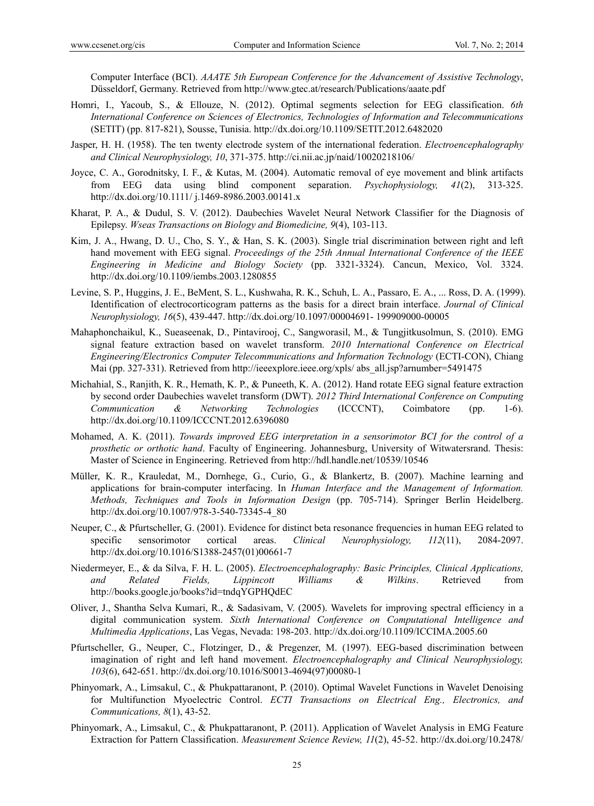Computer Interface (BCI). *AAATE 5th European Conference for the Advancement of Assistive Technology*, Düsseldorf, Germany. Retrieved from http://www.gtec.at/research/Publications/aaate.pdf

- Homri, I., Yacoub, S., & Ellouze, N. (2012). Optimal segments selection for EEG classification. *6th International Conference on Sciences of Electronics, Technologies of Information and Telecommunications* (SETIT) (pp. 817-821), Sousse, Tunisia. http://dx.doi.org/10.1109/SETIT.2012.6482020
- Jasper, H. H. (1958). The ten twenty electrode system of the international federation. *Electroencephalography and Clinical Neurophysiology, 10*, 371-375. http://ci.nii.ac.jp/naid/10020218106/
- Joyce, C. A., Gorodnitsky, I. F., & Kutas, M. (2004). Automatic removal of eye movement and blink artifacts from EEG data using blind component separation. *Psychophysiology, 41*(2), 313-325. http://dx.doi.org/10.1111/ j.1469-8986.2003.00141.x
- Kharat, P. A., & Dudul, S. V. (2012). Daubechies Wavelet Neural Network Classifier for the Diagnosis of Epilepsy. *Wseas Transactions on Biology and Biomedicine, 9*(4), 103-113.
- Kim, J. A., Hwang, D. U., Cho, S. Y., & Han, S. K. (2003). Single trial discrimination between right and left hand movement with EEG signal. *Proceedings of the 25th Annual International Conference of the IEEE Engineering in Medicine and Biology Society* (pp. 3321-3324). Cancun, Mexico, Vol. 3324. http://dx.doi.org/10.1109/iembs.2003.1280855
- Levine, S. P., Huggins, J. E., BeMent, S. L., Kushwaha, R. K., Schuh, L. A., Passaro, E. A., ... Ross, D. A. (1999). Identification of electrocorticogram patterns as the basis for a direct brain interface. *Journal of Clinical Neurophysiology, 16*(5), 439-447. http://dx.doi.org/10.1097/00004691- 199909000-00005
- Mahaphonchaikul, K., Sueaseenak, D., Pintavirooj, C., Sangworasil, M., & Tungjitkusolmun, S. (2010). EMG signal feature extraction based on wavelet transform. *2010 International Conference on Electrical Engineering/Electronics Computer Telecommunications and Information Technology* (ECTI-CON), Chiang Mai (pp. 327-331). Retrieved from http://ieeexplore.ieee.org/xpls/ abs\_all.jsp?arnumber=5491475
- Michahial, S., Ranjith, K. R., Hemath, K. P., & Puneeth, K. A. (2012). Hand rotate EEG signal feature extraction by second order Daubechies wavelet transform (DWT). *2012 Third International Conference on Computing Communication & Networking Technologies* (ICCCNT), Coimbatore (pp. 1-6). http://dx.doi.org/10.1109/ICCCNT.2012.6396080
- Mohamed, A. K. (2011). *Towards improved EEG interpretation in a sensorimotor BCI for the control of a prosthetic or orthotic hand*. Faculty of Engineering. Johannesburg, University of Witwatersrand. Thesis: Master of Science in Engineering. Retrieved from http://hdl.handle.net/10539/10546
- Müller, K. R., Krauledat, M., Dornhege, G., Curio, G., & Blankertz, B. (2007). Machine learning and applications for brain-computer interfacing. In *Human Interface and the Management of Information. Methods, Techniques and Tools in Information Design* (pp. 705-714). Springer Berlin Heidelberg. http://dx.doi.org/10.1007/978-3-540-73345-4\_80
- Neuper, C., & Pfurtscheller, G. (2001). Evidence for distinct beta resonance frequencies in human EEG related to specific sensorimotor cortical areas. *Clinical Neurophysiology, 112*(11), 2084-2097. http://dx.doi.org/10.1016/S1388-2457(01)00661-7
- Niedermeyer, E., & da Silva, F. H. L. (2005). *Electroencephalography: Basic Principles, Clinical Applications, and Related Fields, Lippincott Williams & Wilkins*. Retrieved from http://books.google.jo/books?id=tndqYGPHQdEC
- Oliver, J., Shantha Selva Kumari, R., & Sadasivam, V. (2005). Wavelets for improving spectral efficiency in a digital communication system. *Sixth International Conference on Computational Intelligence and Multimedia Applications*, Las Vegas, Nevada: 198-203. http://dx.doi.org/10.1109/ICCIMA.2005.60
- Pfurtscheller, G., Neuper, C., Flotzinger, D., & Pregenzer, M. (1997). EEG-based discrimination between imagination of right and left hand movement. *Electroencephalography and Clinical Neurophysiology, 103*(6), 642-651. http://dx.doi.org/10.1016/S0013-4694(97)00080-1
- Phinyomark, A., Limsakul, C., & Phukpattaranont, P. (2010). Optimal Wavelet Functions in Wavelet Denoising for Multifunction Myoelectric Control. *ECTI Transactions on Electrical Eng., Electronics, and Communications, 8*(1), 43-52.
- Phinyomark, A., Limsakul, C., & Phukpattaranont, P. (2011). Application of Wavelet Analysis in EMG Feature Extraction for Pattern Classification. *Measurement Science Review, 11*(2), 45-52. http://dx.doi.org/10.2478/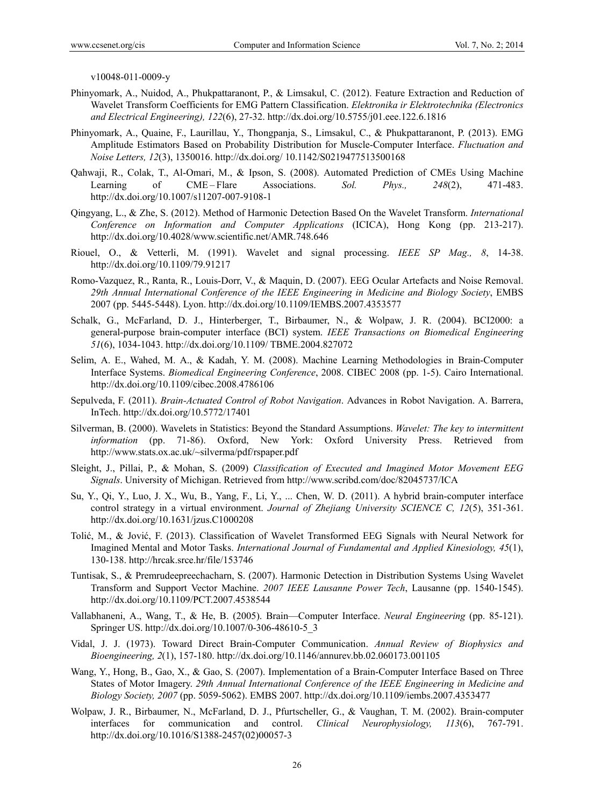v10048-011-0009-y

- Phinyomark, A., Nuidod, A., Phukpattaranont, P., & Limsakul, C. (2012). Feature Extraction and Reduction of Wavelet Transform Coefficients for EMG Pattern Classification. *Elektronika ir Elektrotechnika (Electronics and Electrical Engineering), 122*(6), 27-32. http://dx.doi.org/10.5755/j01.eee.122.6.1816
- Phinyomark, A., Quaine, F., Laurillau, Y., Thongpanja, S., Limsakul, C., & Phukpattaranont, P. (2013). EMG Amplitude Estimators Based on Probability Distribution for Muscle-Computer Interface. *Fluctuation and Noise Letters, 12*(3), 1350016. http://dx.doi.org/ 10.1142/S0219477513500168
- Qahwaji, R., Colak, T., Al-Omari, M., & Ipson, S. (2008). Automated Prediction of CMEs Using Machine Learning of CME – Flare Associations. *Sol. Phys., 248*(2), 471-483. http://dx.doi.org/10.1007/s11207-007-9108-1
- Qingyang, L., & Zhe, S. (2012). Method of Harmonic Detection Based On the Wavelet Transform. *International Conference on Information and Computer Applications* (ICICA), Hong Kong (pp. 213-217). http://dx.doi.org/10.4028/www.scientific.net/AMR.748.646
- Riouel, O., & Vetterli, M. (1991). Wavelet and signal processing. *IEEE SP Mag., 8*, 14-38. http://dx.doi.org/10.1109/79.91217
- Romo-Vazquez, R., Ranta, R., Louis-Dorr, V., & Maquin, D. (2007). EEG Ocular Artefacts and Noise Removal. *29th Annual International Conference of the IEEE Engineering in Medicine and Biology Society*, EMBS 2007 (pp. 5445-5448). Lyon. http://dx.doi.org/10.1109/IEMBS.2007.4353577
- Schalk, G., McFarland, D. J., Hinterberger, T., Birbaumer, N., & Wolpaw, J. R. (2004). BCI2000: a general-purpose brain-computer interface (BCI) system. *IEEE Transactions on Biomedical Engineering 51*(6), 1034-1043. http://dx.doi.org/10.1109/ TBME.2004.827072
- Selim, A. E., Wahed, M. A., & Kadah, Y. M. (2008). Machine Learning Methodologies in Brain-Computer Interface Systems. *Biomedical Engineering Conference*, 2008. CIBEC 2008 (pp. 1-5). Cairo International. http://dx.doi.org/10.1109/cibec.2008.4786106
- Sepulveda, F. (2011). *Brain-Actuated Control of Robot Navigation*. Advances in Robot Navigation. A. Barrera, InTech. http://dx.doi.org/10.5772/17401
- Silverman, B. (2000). Wavelets in Statistics: Beyond the Standard Assumptions. *Wavelet: The key to intermittent information* (pp. 71-86). Oxford, New York: Oxford University Press. Retrieved from http://www.stats.ox.ac.uk/~silverma/pdf/rspaper.pdf
- Sleight, J., Pillai, P., & Mohan, S. (2009) *Classification of Executed and Imagined Motor Movement EEG Signals*. University of Michigan. Retrieved from http://www.scribd.com/doc/82045737/ICA
- Su, Y., Qi, Y., Luo, J. X., Wu, B., Yang, F., Li, Y., ... Chen, W. D. (2011). A hybrid brain-computer interface control strategy in a virtual environment. *Journal of Zhejiang University SCIENCE C, 12*(5), 351-361. http://dx.doi.org/10.1631/jzus.C1000208
- Tolić, M., & Jović, F. (2013). Classification of Wavelet Transformed EEG Signals with Neural Network for Imagined Mental and Motor Tasks. *International Journal of Fundamental and Applied Kinesiology, 45*(1), 130-138. http://hrcak.srce.hr/file/153746
- Tuntisak, S., & Premrudeepreechacharn, S. (2007). Harmonic Detection in Distribution Systems Using Wavelet Transform and Support Vector Machine. *2007 IEEE Lausanne Power Tech*, Lausanne (pp. 1540-1545). http://dx.doi.org/10.1109/PCT.2007.4538544
- Vallabhaneni, A., Wang, T., & He, B. (2005). Brain—Computer Interface. *Neural Engineering* (pp. 85-121). Springer US. http://dx.doi.org/10.1007/0-306-48610-5\_3
- Vidal, J. J. (1973). Toward Direct Brain-Computer Communication. *Annual Review of Biophysics and Bioengineering, 2*(1), 157-180. http://dx.doi.org/10.1146/annurev.bb.02.060173.001105
- Wang, Y., Hong, B., Gao, X., & Gao, S. (2007). Implementation of a Brain-Computer Interface Based on Three States of Motor Imagery. *29th Annual International Conference of the IEEE Engineering in Medicine and Biology Society, 2007* (pp. 5059-5062). EMBS 2007. http://dx.doi.org/10.1109/iembs.2007.4353477
- Wolpaw, J. R., Birbaumer, N., McFarland, D. J., Pfurtscheller, G., & Vaughan, T. M. (2002). Brain-computer interfaces for communication and control. *Clinical Neurophysiology, 113*(6), 767-791. http://dx.doi.org/10.1016/S1388-2457(02)00057-3